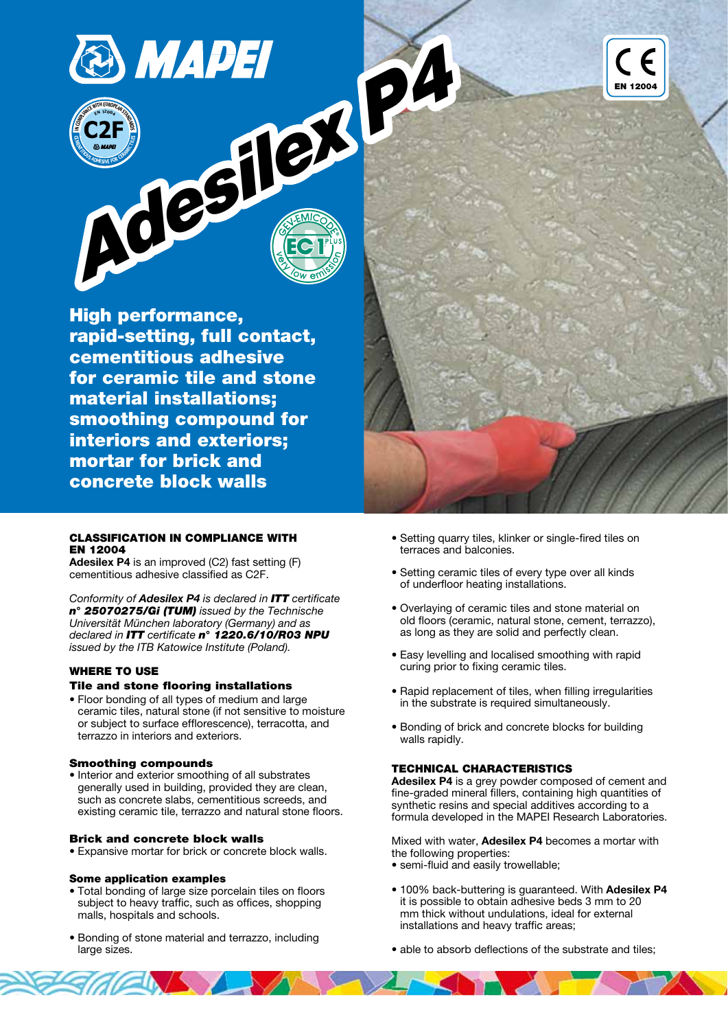

High performance, rapid-setting, full contact, cementitious adhesive for ceramic tile and stone material installations; smoothing compound for interiors and exteriors; mortar for brick and concrete block walls



## CLASSIFICATION IN COMPLIANCE WITH EN 12004

Adesilex P4 is an improved (C2) fast setting (F) cementitious adhesive classified as C2F.

Conformity of Adesilex P4 is declared in ITT certificate n° 25070275/Gi (TUM) issued by the Technische Universität München laboratory (Germany) and as declared in **ITT** certificate n° 1220.6/10/R03 NPU issued by the ITB Katowice Institute (Poland).

# WHERE TO USE

## Tile and stone flooring installations

• Floor bonding of all types of medium and large ceramic tiles, natural stone (if not sensitive to moisture or subject to surface efflorescence), terracotta, and terrazzo in interiors and exteriors.

## Smoothing compounds

• Interior and exterior smoothing of all substrates generally used in building, provided they are clean, such as concrete slabs, cementitious screeds, and existing ceramic tile, terrazzo and natural stone floors.

## Brick and concrete block walls

• Expansive mortar for brick or concrete block walls.

## Some application examples

- Total bonding of large size porcelain tiles on floors subject to heavy traffic, such as offices, shopping malls, hospitals and schools.
- Bonding of stone material and terrazzo, including large sizes.
- Setting quarry tiles, klinker or single-fired tiles on terraces and balconies.
- Setting ceramic tiles of every type over all kinds of underfloor heating installations.
- Overlaying of ceramic tiles and stone material on old floors (ceramic, natural stone, cement, terrazzo), as long as they are solid and perfectly clean.
- Easy levelling and localised smoothing with rapid curing prior to fixing ceramic tiles.
- Rapid replacement of tiles, when filling irregularities in the substrate is required simultaneously.
- Bonding of brick and concrete blocks for building walls rapidly.

## TECHNICAL CHARACTERISTICS

Adesilex P4 is a grey powder composed of cement and fine-graded mineral fillers, containing high quantities of synthetic resins and special additives according to a formula developed in the MAPEI Research Laboratories.

Mixed with water, **Adesilex P4** becomes a mortar with the following properties:

- semi-fluid and easily trowellable;
- 100% back-buttering is guaranteed. With Adesilex P4 it is possible to obtain adhesive beds 3 mm to 20 mm thick without undulations, ideal for external installations and heavy traffic areas;
- able to absorb deflections of the substrate and tiles;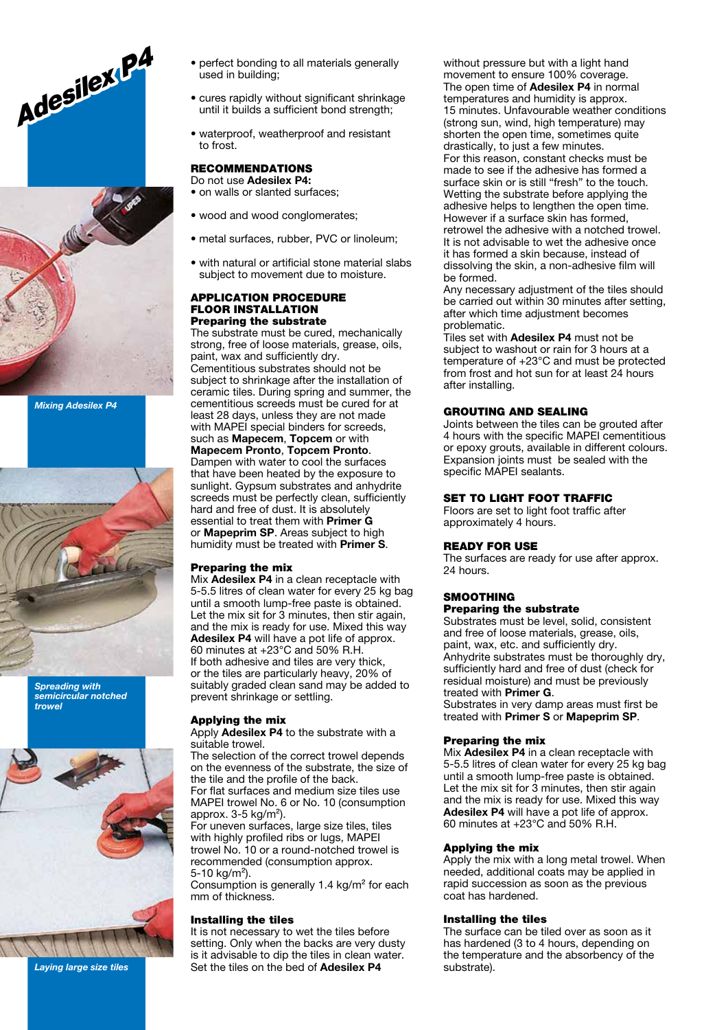



Mixing Adesilex P4



Spreading with semicircular notched trowel



Laying large size tiles

- perfect bonding to all materials generally used in building;
- cures rapidly without significant shrinkage until it builds a sufficient bond strength;
- waterproof, weatherproof and resistant to frost.

# RECOMMENDATIONS

Do not use Adesilex P4: • on walls or slanted surfaces;

- wood and wood conglomerates:
- metal surfaces, rubber, PVC or linoleum;
- with natural or artificial stone material slabs subject to movement due to moisture.

#### APPLICATION PROCEDURE FLOOR INSTALLATION Preparing the substrate

The substrate must be cured, mechanically strong, free of loose materials, grease, oils, paint, wax and sufficiently dry. Cementitious substrates should not be subject to shrinkage after the installation of ceramic tiles. During spring and summer, the cementitious screeds must be cured for at least 28 days, unless they are not made with MAPEI special binders for screeds, such as Mapecem, Topcem or with Mapecem Pronto, Topcem Pronto. Dampen with water to cool the surfaces that have been heated by the exposure to sunlight. Gypsum substrates and anhydrite screeds must be perfectly clean, sufficiently hard and free of dust. It is absolutely essential to treat them with Primer G or **Mapeprim SP**. Areas subject to high humidity must be treated with Primer S.

## Preparing the mix

Mix Adesilex P4 in a clean receptacle with 5-5.5 litres of clean water for every 25 kg bag until a smooth lump-free paste is obtained. Let the mix sit for 3 minutes, then stir again, and the mix is ready for use. Mixed this way Adesilex P4 will have a pot life of approx. 60 minutes at +23°C and 50% R.H. If both adhesive and tiles are very thick, or the tiles are particularly heavy, 20% of suitably graded clean sand may be added to prevent shrinkage or settling.

#### Applying the mix

Apply **Adesilex P4** to the substrate with a suitable trowel.

The selection of the correct trowel depends on the evenness of the substrate, the size of the tile and the profile of the back. For flat surfaces and medium size tiles use MAPEI trowel No. 6 or No. 10 (consumption approx. 3-5 kg/m²).

For uneven surfaces, large size tiles, tiles with highly profiled ribs or lugs, MAPEI trowel No. 10 or a round-notched trowel is recommended (consumption approx.  $5-10$  kg/m<sup>2</sup>).

Consumption is generally 1.4 kg/m² for each mm of thickness.

## Installing the tiles

It is not necessary to wet the tiles before setting. Only when the backs are very dusty is it advisable to dip the tiles in clean water. Set the tiles on the bed of Adesilex P4

without pressure but with a light hand movement to ensure 100% coverage. The open time of **Adesilex P4** in normal temperatures and humidity is approx. 15 minutes. Unfavourable weather conditions (strong sun, wind, high temperature) may shorten the open time, sometimes quite drastically, to just a few minutes. For this reason, constant checks must be made to see if the adhesive has formed a surface skin or is still "fresh" to the touch. Wetting the substrate before applying the adhesive helps to lengthen the open time. However if a surface skin has formed, retrowel the adhesive with a notched trowel. It is not advisable to wet the adhesive once it has formed a skin because, instead of dissolving the skin, a non-adhesive film will be formed.

Any necessary adjustment of the tiles should be carried out within 30 minutes after setting, after which time adjustment becomes problematic.

Tiles set with **Adesilex P4** must not be subject to washout or rain for 3 hours at a temperature of +23°C and must be protected from frost and hot sun for at least 24 hours after installing.

## GROUTING AND SEALING

Joints between the tiles can be grouted after 4 hours with the specific MAPEI cementitious or epoxy grouts, available in different colours. Expansion joints must be sealed with the specific MAPEI sealants.

#### SET TO LIGHT FOOT TRAFFIC

Floors are set to light foot traffic after approximately 4 hours.

## READY FOR USE

The surfaces are ready for use after approx. 24 hours.

## **SMOOTHING**

## Preparing the substrate

Substrates must be level, solid, consistent and free of loose materials, grease, oils, paint, wax, etc. and sufficiently dry. Anhydrite substrates must be thoroughly dry, sufficiently hard and free of dust (check for residual moisture) and must be previously treated with Primer G.

Substrates in very damp areas must first be treated with Primer S or Mapeprim SP.

#### Preparing the mix

Mix Adesilex P4 in a clean receptacle with 5-5.5 litres of clean water for every 25 kg bag until a smooth lump-free paste is obtained. Let the mix sit for 3 minutes, then stir again and the mix is ready for use. Mixed this way Adesilex P4 will have a pot life of approx. 60 minutes at +23°C and 50% R.H.

## Applying the mix

Apply the mix with a long metal trowel. When needed, additional coats may be applied in rapid succession as soon as the previous coat has hardened.

#### Installing the tiles

The surface can be tiled over as soon as it has hardened (3 to 4 hours, depending on the temperature and the absorbency of the substrate).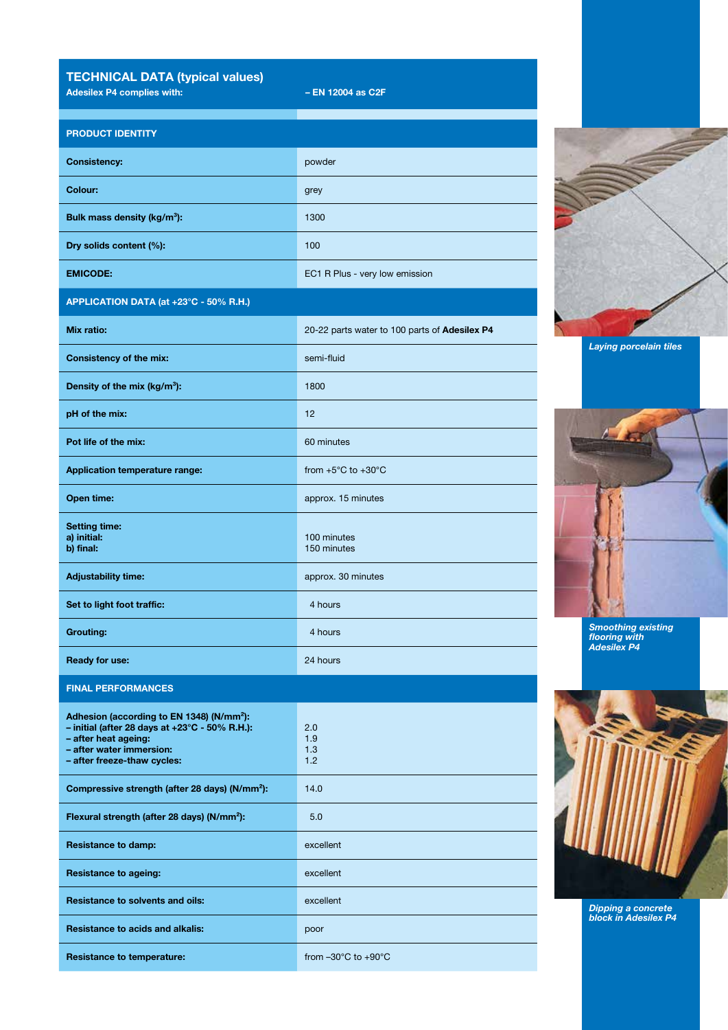TECHNICAL DATA (typical values)

Adesilex P4 complies with:  $-$  EN 12004 as C2F

b) final:

FINAL PERFORMANCES

– after heat ageing: – after water immersion: – after freeze-thaw cycles:

Adhesion (according to EN 1348) (N/mm²): – initial (after 28 days at +23°C - 50% R.H.):

| <b>PRODUCT IDENTITY</b>                  |                                               |
|------------------------------------------|-----------------------------------------------|
| <b>Consistency:</b>                      | powder                                        |
| Colour:                                  | grey                                          |
| Bulk mass density (kg/m <sup>3</sup> ):  | 1300                                          |
| Dry solids content (%):                  | 100                                           |
| <b>EMICODE:</b>                          | EC1 R Plus - very low emission                |
| APPLICATION DATA (at +23°C - 50% R.H.)   |                                               |
| Mix ratio:                               | 20-22 parts water to 100 parts of Adesilex P4 |
| <b>Consistency of the mix:</b>           | semi-fluid                                    |
| Density of the mix (kg/m <sup>3</sup> ): | 1800                                          |
| pH of the mix:                           | 12                                            |
| Pot life of the mix:                     | 60 minutes                                    |
| <b>Application temperature range:</b>    | from $+5^{\circ}$ C to $+30^{\circ}$ C        |
| Open time:                               | approx. 15 minutes                            |
| <b>Setting time:</b><br>a) initial:      | 100 minutes                                   |

150 minutes

2.0 1.9 1.3 1.2

Adjustability time: approx. 30 minutes

Set to light foot traffic: 4 hours

**Grouting:** 4 hours

**Ready for use:** 24 hours

Compressive strength (after 28 days) (N/mm<sup>2</sup>): 14.0

Flexural strength (after 28 days) (N/mm²): 5.0

Resistance to damp: excellent

Resistance to ageing: excellent

Resistance to solvents and oils: excellent

Resistance to temperature: from –30°C to +90°C

Resistance to acids and alkalis: poor



Laying porcelain tiles



Smoothing existing flooring with Adesilex P4



Dipping a concrete block in Adesilex P4